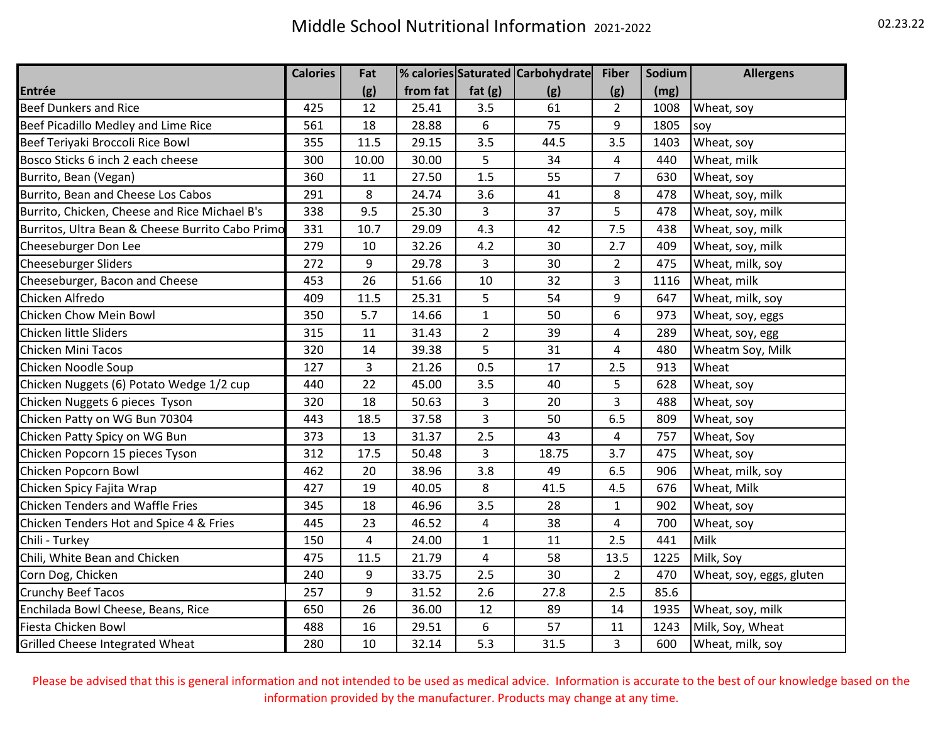|                                                  | <b>Calories</b> | Fat   |          |                         | % calories Saturated Carbohydrate | <b>Fiber</b>            | Sodium | <b>Allergens</b>         |
|--------------------------------------------------|-----------------|-------|----------|-------------------------|-----------------------------------|-------------------------|--------|--------------------------|
| Entrée                                           |                 | (g)   | from fat | fat $(g)$               | (g)                               | (g)                     | (mg)   |                          |
| <b>Beef Dunkers and Rice</b>                     | 425             | 12    | 25.41    | 3.5                     | 61                                | $\overline{2}$          | 1008   | Wheat, soy               |
| Beef Picadillo Medley and Lime Rice              | 561             | 18    | 28.88    | 6                       | 75                                | 9                       | 1805   | soy                      |
| Beef Teriyaki Broccoli Rice Bowl                 | 355             | 11.5  | 29.15    | 3.5                     | 44.5                              | 3.5                     | 1403   | Wheat, soy               |
| Bosco Sticks 6 inch 2 each cheese                | 300             | 10.00 | 30.00    | 5                       | 34                                | 4                       | 440    | Wheat, milk              |
| Burrito, Bean (Vegan)                            | 360             | 11    | 27.50    | 1.5                     | 55                                | $\overline{7}$          | 630    | Wheat, soy               |
| Burrito, Bean and Cheese Los Cabos               | 291             | 8     | 24.74    | 3.6                     | 41                                | 8                       | 478    | Wheat, soy, milk         |
| Burrito, Chicken, Cheese and Rice Michael B's    | 338             | 9.5   | 25.30    | $\overline{3}$          | 37                                | 5                       | 478    | Wheat, soy, milk         |
| Burritos, Ultra Bean & Cheese Burrito Cabo Primo | 331             | 10.7  | 29.09    | 4.3                     | 42                                | 7.5                     | 438    | Wheat, soy, milk         |
| Cheeseburger Don Lee                             | 279             | 10    | 32.26    | 4.2                     | 30                                | 2.7                     | 409    | Wheat, soy, milk         |
| <b>Cheeseburger Sliders</b>                      | 272             | 9     | 29.78    | 3                       | 30                                | $\overline{2}$          | 475    | Wheat, milk, soy         |
| Cheeseburger, Bacon and Cheese                   | 453             | 26    | 51.66    | 10                      | 32                                | 3                       | 1116   | Wheat, milk              |
| Chicken Alfredo                                  | 409             | 11.5  | 25.31    | 5                       | 54                                | 9                       | 647    | Wheat, milk, soy         |
| Chicken Chow Mein Bowl                           | 350             | 5.7   | 14.66    | $\mathbf{1}$            | 50                                | 6                       | 973    | Wheat, soy, eggs         |
| Chicken little Sliders                           | 315             | 11    | 31.43    | $\overline{2}$          | 39                                | 4                       | 289    | Wheat, soy, egg          |
| Chicken Mini Tacos                               | 320             | 14    | 39.38    | 5                       | 31                                | 4                       | 480    | Wheatm Soy, Milk         |
| Chicken Noodle Soup                              | 127             | 3     | 21.26    | 0.5                     | 17                                | 2.5                     | 913    | Wheat                    |
| Chicken Nuggets (6) Potato Wedge 1/2 cup         | 440             | 22    | 45.00    | 3.5                     | 40                                | 5                       | 628    | Wheat, soy               |
| Chicken Nuggets 6 pieces Tyson                   | 320             | 18    | 50.63    | 3                       | 20                                | 3                       | 488    | Wheat, soy               |
| Chicken Patty on WG Bun 70304                    | 443             | 18.5  | 37.58    | 3                       | 50                                | 6.5                     | 809    | Wheat, soy               |
| Chicken Patty Spicy on WG Bun                    | 373             | 13    | 31.37    | 2.5                     | 43                                | $\overline{\mathbf{4}}$ | 757    | Wheat, Soy               |
| Chicken Popcorn 15 pieces Tyson                  | 312             | 17.5  | 50.48    | 3                       | 18.75                             | 3.7                     | 475    | Wheat, soy               |
| Chicken Popcorn Bowl                             | 462             | 20    | 38.96    | 3.8                     | 49                                | 6.5                     | 906    | Wheat, milk, soy         |
| Chicken Spicy Fajita Wrap                        | 427             | 19    | 40.05    | 8                       | 41.5                              | 4.5                     | 676    | Wheat, Milk              |
| Chicken Tenders and Waffle Fries                 | 345             | 18    | 46.96    | 3.5                     | 28                                | $\mathbf{1}$            | 902    | Wheat, soy               |
| Chicken Tenders Hot and Spice 4 & Fries          | 445             | 23    | 46.52    | 4                       | 38                                | 4                       | 700    | Wheat, soy               |
| Chili - Turkey                                   | 150             | 4     | 24.00    | $\mathbf{1}$            | 11                                | 2.5                     | 441    | Milk                     |
| Chili, White Bean and Chicken                    | 475             | 11.5  | 21.79    | $\overline{\mathbf{4}}$ | 58                                | 13.5                    | 1225   | Milk, Soy                |
| Corn Dog, Chicken                                | 240             | 9     | 33.75    | 2.5                     | 30                                | $\overline{2}$          | 470    | Wheat, soy, eggs, gluten |
| Crunchy Beef Tacos                               | 257             | 9     | 31.52    | 2.6                     | 27.8                              | 2.5                     | 85.6   |                          |
| Enchilada Bowl Cheese, Beans, Rice               | 650             | 26    | 36.00    | 12                      | 89                                | 14                      | 1935   | Wheat, soy, milk         |
| Fiesta Chicken Bowl                              | 488             | 16    | 29.51    | 6                       | 57                                | 11                      | 1243   | Milk, Soy, Wheat         |
| <b>Grilled Cheese Integrated Wheat</b>           | 280             | 10    | 32.14    | 5.3                     | 31.5                              | 3                       | 600    | Wheat, milk, soy         |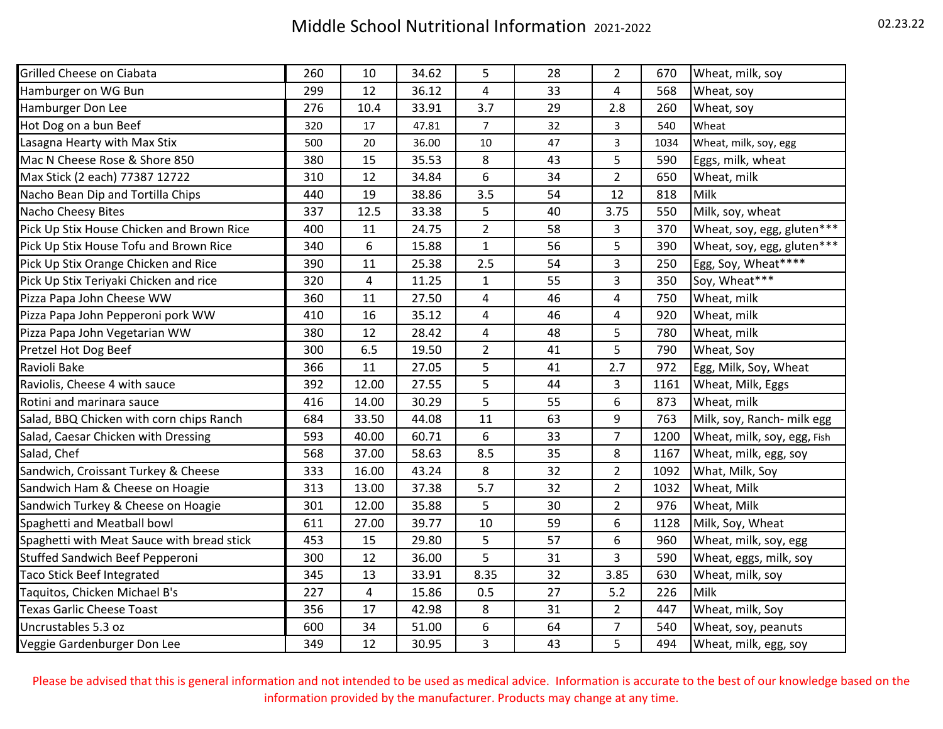## Middle School Nutritional Information 2021-2022 02.23.22

| Grilled Cheese on Ciabata                  | 260 | 10    | 34.62 | 5                       | 28 | $\overline{2}$ | 670  | Wheat, milk, soy            |
|--------------------------------------------|-----|-------|-------|-------------------------|----|----------------|------|-----------------------------|
| Hamburger on WG Bun                        | 299 | 12    | 36.12 | $\overline{\mathbf{4}}$ | 33 | 4              | 568  | Wheat, soy                  |
| Hamburger Don Lee                          | 276 | 10.4  | 33.91 | 3.7                     | 29 | 2.8            | 260  | Wheat, soy                  |
| Hot Dog on a bun Beef                      | 320 | 17    | 47.81 | $\overline{7}$          | 32 | 3              | 540  | Wheat                       |
| Lasagna Hearty with Max Stix               | 500 | 20    | 36.00 | $10\,$                  | 47 | 3              | 1034 | Wheat, milk, soy, egg       |
| Mac N Cheese Rose & Shore 850              | 380 | 15    | 35.53 | 8                       | 43 | 5              | 590  | Eggs, milk, wheat           |
| Max Stick (2 each) 77387 12722             | 310 | 12    | 34.84 | 6                       | 34 | $\overline{2}$ | 650  | Wheat, milk                 |
| Nacho Bean Dip and Tortilla Chips          | 440 | 19    | 38.86 | 3.5                     | 54 | 12             | 818  | Milk                        |
| Nacho Cheesy Bites                         | 337 | 12.5  | 33.38 | 5                       | 40 | 3.75           | 550  | Milk, soy, wheat            |
| Pick Up Stix House Chicken and Brown Rice  | 400 | 11    | 24.75 | $\overline{2}$          | 58 | 3              | 370  | Wheat, soy, egg, gluten***  |
| Pick Up Stix House Tofu and Brown Rice     | 340 | 6     | 15.88 | $\mathbf 1$             | 56 | 5              | 390  | Wheat, soy, egg, gluten***  |
| Pick Up Stix Orange Chicken and Rice       | 390 | 11    | 25.38 | 2.5                     | 54 | 3              | 250  | Egg, Soy, Wheat****         |
| Pick Up Stix Teriyaki Chicken and rice     | 320 | 4     | 11.25 | $\mathbf 1$             | 55 | 3              | 350  | Soy, Wheat***               |
| Pizza Papa John Cheese WW                  | 360 | 11    | 27.50 | $\overline{4}$          | 46 | 4              | 750  | Wheat, milk                 |
| Pizza Papa John Pepperoni pork WW          | 410 | 16    | 35.12 | $\overline{\mathbf{4}}$ | 46 | 4              | 920  | Wheat, milk                 |
| Pizza Papa John Vegetarian WW              | 380 | 12    | 28.42 | $\overline{\mathbf{4}}$ | 48 | 5              | 780  | Wheat, milk                 |
| Pretzel Hot Dog Beef                       | 300 | 6.5   | 19.50 | $\overline{2}$          | 41 | 5              | 790  | Wheat, Soy                  |
| Ravioli Bake                               | 366 | 11    | 27.05 | 5                       | 41 | 2.7            | 972  | Egg, Milk, Soy, Wheat       |
| Raviolis, Cheese 4 with sauce              | 392 | 12.00 | 27.55 | 5                       | 44 | 3              | 1161 | Wheat, Milk, Eggs           |
| Rotini and marinara sauce                  | 416 | 14.00 | 30.29 | 5                       | 55 | 6              | 873  | Wheat, milk                 |
| Salad, BBQ Chicken with corn chips Ranch   | 684 | 33.50 | 44.08 | 11                      | 63 | 9              | 763  | Milk, soy, Ranch- milk egg  |
| Salad, Caesar Chicken with Dressing        | 593 | 40.00 | 60.71 | 6                       | 33 | $\overline{7}$ | 1200 | Wheat, milk, soy, egg, Fish |
| Salad, Chef                                | 568 | 37.00 | 58.63 | 8.5                     | 35 | 8              | 1167 | Wheat, milk, egg, soy       |
| Sandwich, Croissant Turkey & Cheese        | 333 | 16.00 | 43.24 | 8                       | 32 | $\overline{2}$ | 1092 | What, Milk, Soy             |
| Sandwich Ham & Cheese on Hoagie            | 313 | 13.00 | 37.38 | 5.7                     | 32 | $\overline{2}$ | 1032 | Wheat, Milk                 |
| Sandwich Turkey & Cheese on Hoagie         | 301 | 12.00 | 35.88 | 5                       | 30 | $\overline{2}$ | 976  | Wheat, Milk                 |
| Spaghetti and Meatball bowl                | 611 | 27.00 | 39.77 | 10                      | 59 | 6              | 1128 | Milk, Soy, Wheat            |
| Spaghetti with Meat Sauce with bread stick | 453 | 15    | 29.80 | 5                       | 57 | 6              | 960  | Wheat, milk, soy, egg       |
| Stuffed Sandwich Beef Pepperoni            | 300 | 12    | 36.00 | 5                       | 31 | 3              | 590  | Wheat, eggs, milk, soy      |
| Taco Stick Beef Integrated                 | 345 | 13    | 33.91 | 8.35                    | 32 | 3.85           | 630  | Wheat, milk, soy            |
| Taquitos, Chicken Michael B's              | 227 | 4     | 15.86 | 0.5                     | 27 | 5.2            | 226  | Milk                        |
| <b>Texas Garlic Cheese Toast</b>           | 356 | 17    | 42.98 | 8                       | 31 | $\overline{2}$ | 447  | Wheat, milk, Soy            |
| Uncrustables 5.3 oz                        | 600 | 34    | 51.00 | $\boldsymbol{6}$        | 64 | $\overline{7}$ | 540  | Wheat, soy, peanuts         |
| Veggie Gardenburger Don Lee                | 349 | 12    | 30.95 | 3                       | 43 | 5              | 494  | Wheat, milk, egg, soy       |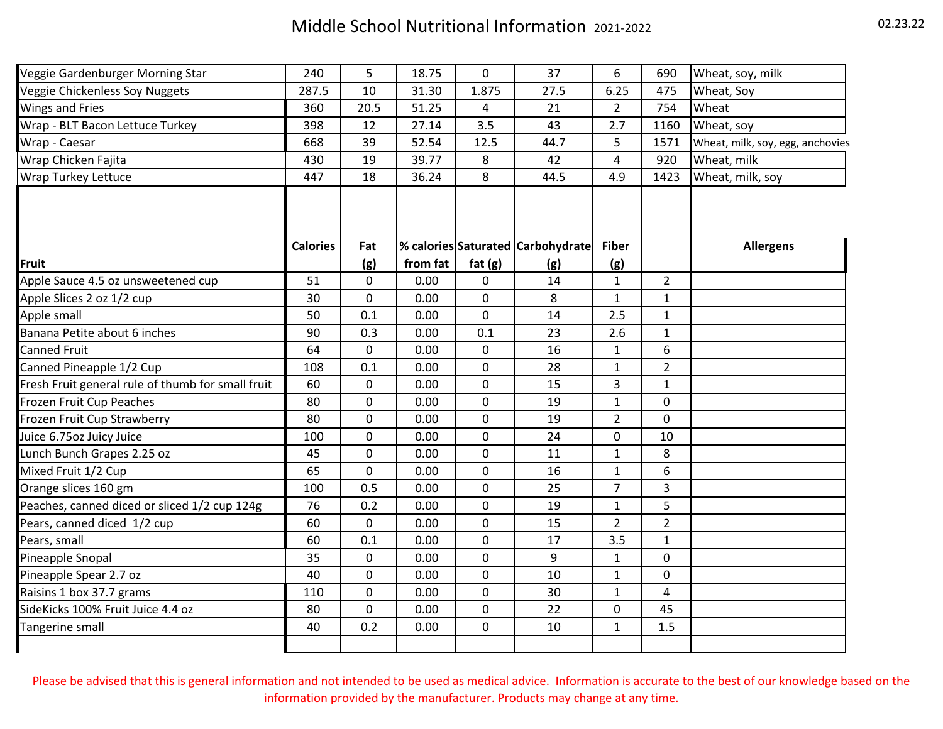| Veggie Gardenburger Morning Star                  | 240             | 5           | 18.75    | 0         | 37                                | 6              | 690            | Wheat, soy, milk                 |
|---------------------------------------------------|-----------------|-------------|----------|-----------|-----------------------------------|----------------|----------------|----------------------------------|
| Veggie Chickenless Soy Nuggets                    | 287.5           | 10          | 31.30    | 1.875     | 27.5                              | 6.25           | 475            | Wheat, Soy                       |
| <b>Wings and Fries</b>                            | 360             | 20.5        | 51.25    | 4         | 21                                | $\overline{2}$ | 754            | Wheat                            |
| Wrap - BLT Bacon Lettuce Turkey                   | 398             | 12          | 27.14    | 3.5       | 43                                | 2.7            | 1160           | Wheat, soy                       |
| Wrap - Caesar                                     | 668             | 39          | 52.54    | 12.5      | 44.7                              | 5              | 1571           | Wheat, milk, soy, egg, anchovies |
| Wrap Chicken Fajita                               | 430             | 19          | 39.77    | 8         | 42                                | 4              | 920            | Wheat, milk                      |
| <b>Wrap Turkey Lettuce</b>                        | 447             | 18          | 36.24    | 8         | 44.5                              | 4.9            | 1423           | Wheat, milk, soy                 |
|                                                   | <b>Calories</b> | Fat         |          |           | % calories Saturated Carbohydrate | <b>Fiber</b>   |                | <b>Allergens</b>                 |
| Fruit                                             |                 | (g)         | from fat | fat $(g)$ | (g)                               | (g)            |                |                                  |
| Apple Sauce 4.5 oz unsweetened cup                | 51              | 0           | 0.00     | 0         | 14                                | $\mathbf{1}$   | $\overline{2}$ |                                  |
| Apple Slices 2 oz 1/2 cup                         | 30              | 0           | 0.00     | 0         | 8                                 | $\mathbf{1}$   | $\mathbf{1}$   |                                  |
| Apple small                                       | 50              | 0.1         | 0.00     | 0         | 14                                | 2.5            | $\mathbf{1}$   |                                  |
| Banana Petite about 6 inches                      | 90              | 0.3         | 0.00     | 0.1       | 23                                | 2.6            | $\mathbf{1}$   |                                  |
| <b>Canned Fruit</b>                               | 64              | 0           | 0.00     | 0         | 16                                | $\mathbf{1}$   | 6              |                                  |
| Canned Pineapple 1/2 Cup                          | 108             | 0.1         | 0.00     | 0         | 28                                | $\mathbf{1}$   | $\overline{2}$ |                                  |
| Fresh Fruit general rule of thumb for small fruit | 60              | 0           | 0.00     | 0         | 15                                | $\overline{3}$ | $\mathbf{1}$   |                                  |
| Frozen Fruit Cup Peaches                          | 80              | 0           | 0.00     | 0         | 19                                | $\mathbf{1}$   | 0              |                                  |
| Frozen Fruit Cup Strawberry                       | 80              | 0           | 0.00     | 0         | 19                                | $\overline{2}$ | $\mathbf 0$    |                                  |
| Juice 6.75oz Juicy Juice                          | 100             | 0           | 0.00     | 0         | 24                                | 0              | 10             |                                  |
| Lunch Bunch Grapes 2.25 oz                        | 45              | 0           | 0.00     | 0         | 11                                | $\mathbf{1}$   | 8              |                                  |
| Mixed Fruit 1/2 Cup                               | 65              | 0           | 0.00     | 0         | 16                                | $\mathbf{1}$   | 6              |                                  |
| Orange slices 160 gm                              | 100             | 0.5         | 0.00     | 0         | 25                                | $\overline{7}$ | 3              |                                  |
| Peaches, canned diced or sliced 1/2 cup 124g      | 76              | 0.2         | 0.00     | 0         | 19                                | $\mathbf{1}$   | 5              |                                  |
| Pears, canned diced 1/2 cup                       | 60              | 0           | 0.00     | 0         | 15                                | $\overline{2}$ | $\overline{2}$ |                                  |
| Pears, small                                      | 60              | 0.1         | 0.00     | 0         | 17                                | 3.5            | $\mathbf{1}$   |                                  |
| Pineapple Snopal                                  | 35              | $\mathbf 0$ | 0.00     | 0         | 9                                 | $\mathbf{1}$   | 0              |                                  |
| Pineapple Spear 2.7 oz                            | 40              | 0           | 0.00     | 0         | 10                                | $\mathbf{1}$   | $\mathbf 0$    |                                  |
| Raisins 1 box 37.7 grams                          | 110             | $\mathbf 0$ | 0.00     | 0         | 30                                | $\mathbf{1}$   | 4              |                                  |
| SideKicks 100% Fruit Juice 4.4 oz                 | 80              | 0           | 0.00     | 0         | 22                                | 0              | 45             |                                  |
| Tangerine small                                   | 40              | 0.2         | 0.00     | 0         | 10                                | $\mathbf{1}$   | 1.5            |                                  |
|                                                   |                 |             |          |           |                                   |                |                |                                  |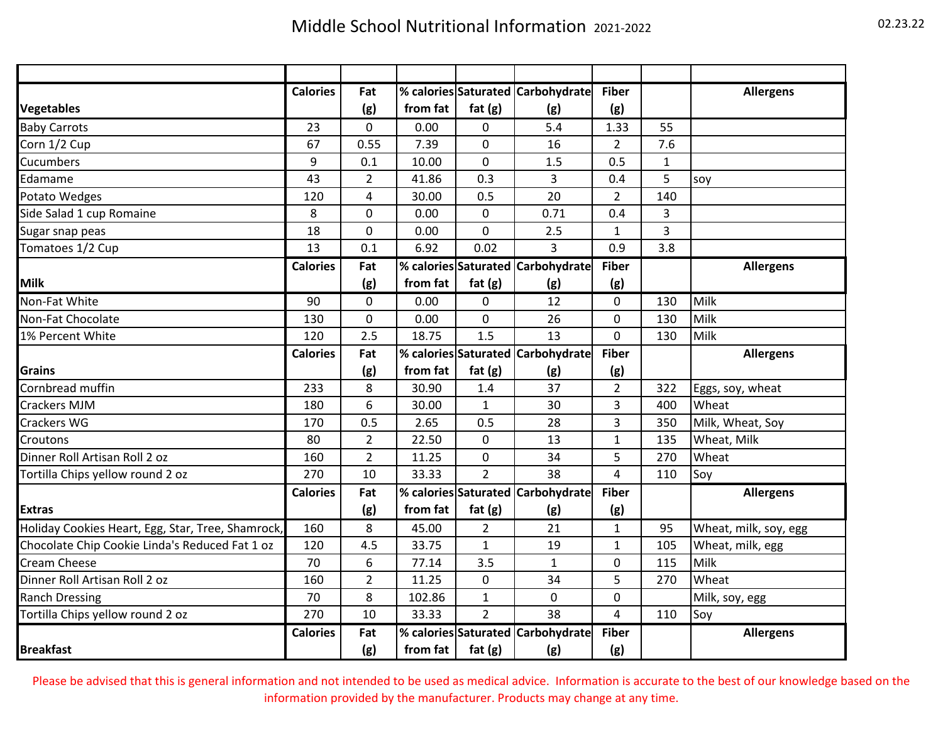|                                                   | <b>Calories</b> | Fat            |                      |                | % calories Saturated Carbohydrate | <b>Fiber</b>   |                | <b>Allergens</b>      |
|---------------------------------------------------|-----------------|----------------|----------------------|----------------|-----------------------------------|----------------|----------------|-----------------------|
| <b>Vegetables</b>                                 |                 | (g)            | from fat             | fat $(g)$      | (g)                               | (g)            |                |                       |
| <b>Baby Carrots</b>                               | 23              | 0              | 0.00                 | 0              | 5.4                               | 1.33           | 55             |                       |
| Corn 1/2 Cup                                      | 67              | 0.55           | 7.39                 | 0              | 16                                | $\overline{2}$ | 7.6            |                       |
| <b>Cucumbers</b>                                  | 9               | 0.1            | 10.00                | 0              | 1.5                               | 0.5            | $\mathbf{1}$   |                       |
| Edamame                                           | 43              | $\overline{2}$ | 41.86                | 0.3            | 3                                 | 0.4            | 5              | soy                   |
| Potato Wedges                                     | 120             | 4              | 30.00                | 0.5            | 20                                | $\overline{2}$ | 140            |                       |
| Side Salad 1 cup Romaine                          | 8               | 0              | 0.00                 | 0              | 0.71                              | 0.4            | $\overline{3}$ |                       |
| Sugar snap peas                                   | 18              | 0              | 0.00                 | 0              | 2.5                               | $\mathbf{1}$   | 3              |                       |
| Tomatoes 1/2 Cup                                  | 13              | 0.1            | 6.92                 | 0.02           | 3                                 | 0.9            | 3.8            |                       |
|                                                   | <b>Calories</b> | Fat            | % calories Saturated |                | Carbohydrate                      | <b>Fiber</b>   |                | <b>Allergens</b>      |
| <b>Milk</b>                                       |                 | (g)            | from fat             | fat $(g)$      | (g)                               | (g)            |                |                       |
| Non-Fat White                                     | 90              | $\overline{0}$ | 0.00                 | 0              | 12                                | 0              | 130            | Milk                  |
| Non-Fat Chocolate                                 | 130             | $\mathbf 0$    | 0.00                 | 0              | 26                                | 0              | 130            | Milk                  |
| 1% Percent White                                  | 120             | 2.5            | 18.75                | 1.5            | 13                                | 0              | 130            | Milk                  |
|                                                   | <b>Calories</b> | Fat            | % calories Saturated |                | <b>Carbohydrate</b>               | <b>Fiber</b>   |                | <b>Allergens</b>      |
| <b>Grains</b>                                     |                 | (g)            | from fat             | fat $(g)$      | (g)                               | (g)            |                |                       |
| Cornbread muffin                                  | 233             | 8              | 30.90                | 1.4            | 37                                | $\overline{2}$ | 322            | Eggs, soy, wheat      |
| <b>Crackers MJM</b>                               | 180             | 6              | 30.00                | $\mathbf{1}$   | 30                                | 3              | 400            | Wheat                 |
| <b>Crackers WG</b>                                | 170             | 0.5            | 2.65                 | 0.5            | 28                                | 3              | 350            | Milk, Wheat, Soy      |
| Croutons                                          | 80              | $\overline{2}$ | 22.50                | 0              | 13                                | $\mathbf{1}$   | 135            | Wheat, Milk           |
| Dinner Roll Artisan Roll 2 oz                     | 160             | $\overline{2}$ | 11.25                | 0              | 34                                | 5              | 270            | Wheat                 |
| Tortilla Chips yellow round 2 oz                  | 270             | 10             | 33.33                | $\overline{2}$ | 38                                | 4              | 110            | Soy                   |
|                                                   | <b>Calories</b> | Fat            | % calories Saturated |                | Carbohydrate                      | <b>Fiber</b>   |                | <b>Allergens</b>      |
| <b>Extras</b>                                     |                 | (g)            | from fat             | fat(g)         | (g)                               | (g)            |                |                       |
| Holiday Cookies Heart, Egg, Star, Tree, Shamrock, | 160             | 8              | 45.00                | 2              | 21                                | 1              | 95             | Wheat, milk, soy, egg |
| Chocolate Chip Cookie Linda's Reduced Fat 1 oz    | 120             | 4.5            | 33.75                | $\mathbf{1}$   | 19                                | 1              | 105            | Wheat, milk, egg      |
| <b>Cream Cheese</b>                               | 70              | 6              | 77.14                | 3.5            | $\mathbf{1}$                      | 0              | 115            | Milk                  |
| Dinner Roll Artisan Roll 2 oz                     | 160             | $\overline{2}$ | 11.25                | 0              | 34                                | 5              | 270            | Wheat                 |
| <b>Ranch Dressing</b>                             | 70              | 8              | 102.86               | $\mathbf{1}$   | 0                                 | 0              |                | Milk, soy, egg        |
| Tortilla Chips yellow round 2 oz                  | 270             | 10             | 33.33                | $\overline{2}$ | 38                                | 4              | 110            | Soy                   |
|                                                   | <b>Calories</b> | Fat            | % calories Saturated |                | Carbohydrate                      | <b>Fiber</b>   |                | <b>Allergens</b>      |
| <b>Breakfast</b>                                  |                 | (g)            | from fat             | fat $(g)$      | (g)                               | (g)            |                |                       |